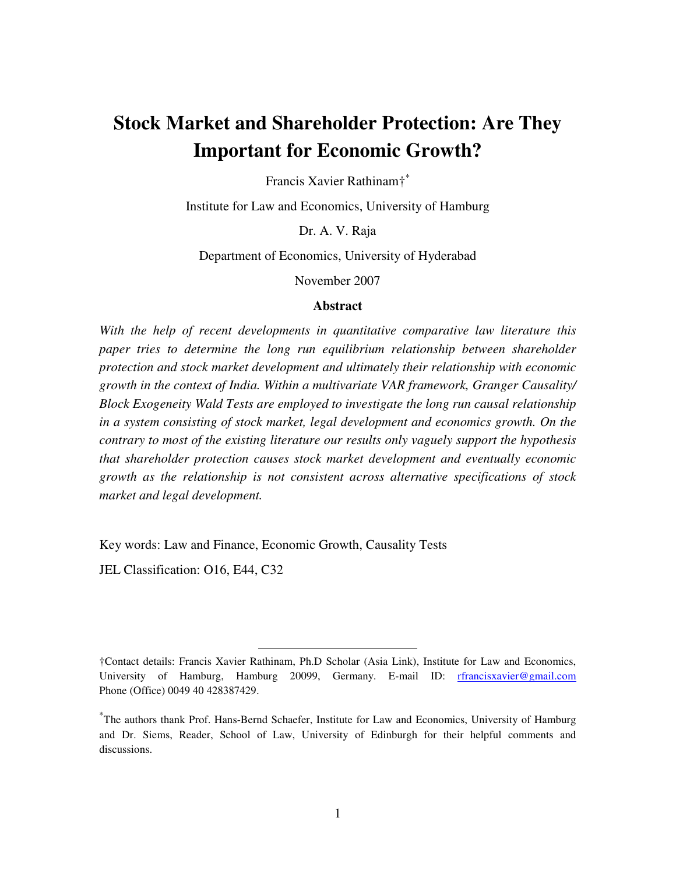# **Stock Market and Shareholder Protection: Are They Important for Economic Growth?**

Francis Xavier Rathinam†<sup>∗</sup>

Institute for Law and Economics, University of Hamburg

Dr. A. V. Raja

Department of Economics, University of Hyderabad

November 2007

#### **Abstract**

*With the help of recent developments in quantitative comparative law literature this paper tries to determine the long run equilibrium relationship between shareholder protection and stock market development and ultimately their relationship with economic growth in the context of India. Within a multivariate VAR framework, Granger Causality/ Block Exogeneity Wald Tests are employed to investigate the long run causal relationship in a system consisting of stock market, legal development and economics growth. On the contrary to most of the existing literature our results only vaguely support the hypothesis that shareholder protection causes stock market development and eventually economic growth as the relationship is not consistent across alternative specifications of stock market and legal development.* 

Key words: Law and Finance, Economic Growth, Causality Tests

-

JEL Classification: O16, E44, C32

<sup>†</sup>Contact details: Francis Xavier Rathinam, Ph.D Scholar (Asia Link), Institute for Law and Economics, University of Hamburg, Hamburg 20099, Germany. E-mail ID: rfrancisxavier@gmail.com Phone (Office) 0049 40 428387429.

<sup>∗</sup> The authors thank Prof. Hans-Bernd Schaefer, Institute for Law and Economics, University of Hamburg and Dr. Siems, Reader, School of Law, University of Edinburgh for their helpful comments and discussions.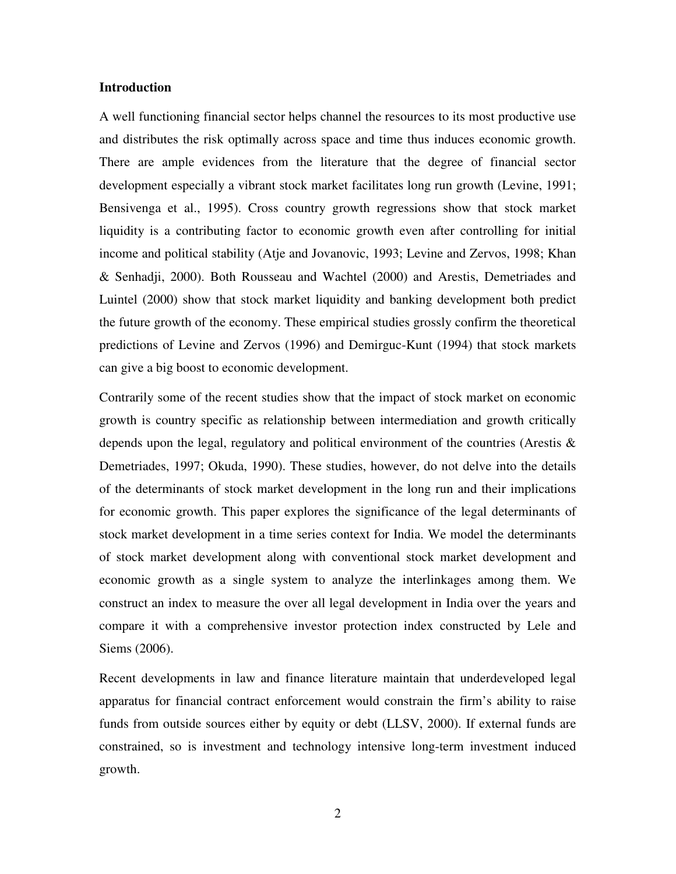#### **Introduction**

A well functioning financial sector helps channel the resources to its most productive use and distributes the risk optimally across space and time thus induces economic growth. There are ample evidences from the literature that the degree of financial sector development especially a vibrant stock market facilitates long run growth (Levine, 1991; Bensivenga et al., 1995). Cross country growth regressions show that stock market liquidity is a contributing factor to economic growth even after controlling for initial income and political stability (Atje and Jovanovic, 1993; Levine and Zervos, 1998; Khan & Senhadji, 2000). Both Rousseau and Wachtel (2000) and Arestis, Demetriades and Luintel (2000) show that stock market liquidity and banking development both predict the future growth of the economy. These empirical studies grossly confirm the theoretical predictions of Levine and Zervos (1996) and Demirguc-Kunt (1994) that stock markets can give a big boost to economic development.

Contrarily some of the recent studies show that the impact of stock market on economic growth is country specific as relationship between intermediation and growth critically depends upon the legal, regulatory and political environment of the countries (Arestis & Demetriades, 1997; Okuda, 1990). These studies, however, do not delve into the details of the determinants of stock market development in the long run and their implications for economic growth. This paper explores the significance of the legal determinants of stock market development in a time series context for India. We model the determinants of stock market development along with conventional stock market development and economic growth as a single system to analyze the interlinkages among them. We construct an index to measure the over all legal development in India over the years and compare it with a comprehensive investor protection index constructed by Lele and Siems (2006).

Recent developments in law and finance literature maintain that underdeveloped legal apparatus for financial contract enforcement would constrain the firm's ability to raise funds from outside sources either by equity or debt (LLSV, 2000). If external funds are constrained, so is investment and technology intensive long-term investment induced growth.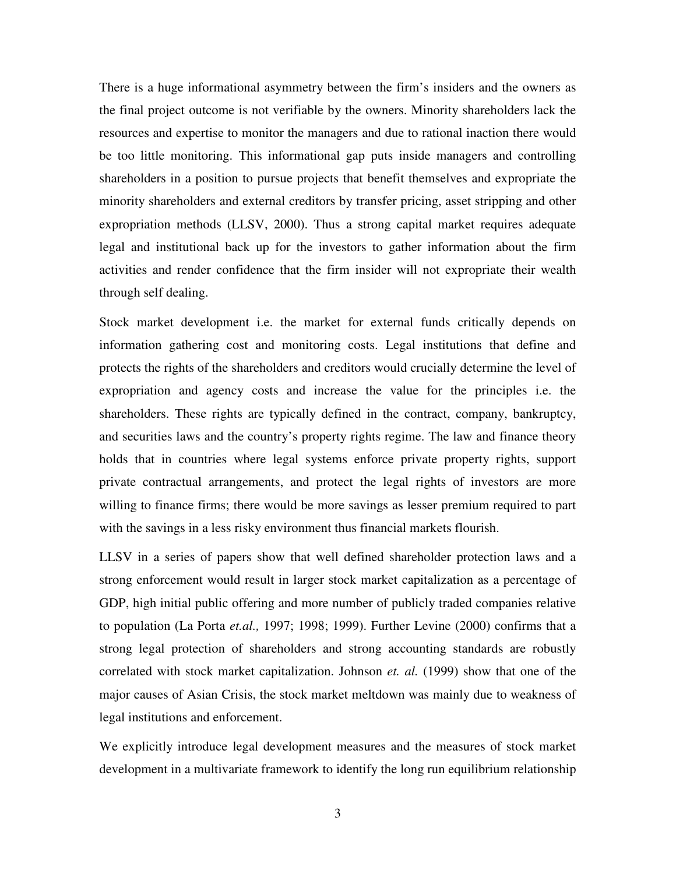There is a huge informational asymmetry between the firm's insiders and the owners as the final project outcome is not verifiable by the owners. Minority shareholders lack the resources and expertise to monitor the managers and due to rational inaction there would be too little monitoring. This informational gap puts inside managers and controlling shareholders in a position to pursue projects that benefit themselves and expropriate the minority shareholders and external creditors by transfer pricing, asset stripping and other expropriation methods (LLSV, 2000). Thus a strong capital market requires adequate legal and institutional back up for the investors to gather information about the firm activities and render confidence that the firm insider will not expropriate their wealth through self dealing.

Stock market development i.e. the market for external funds critically depends on information gathering cost and monitoring costs. Legal institutions that define and protects the rights of the shareholders and creditors would crucially determine the level of expropriation and agency costs and increase the value for the principles i.e. the shareholders. These rights are typically defined in the contract, company, bankruptcy, and securities laws and the country's property rights regime. The law and finance theory holds that in countries where legal systems enforce private property rights, support private contractual arrangements, and protect the legal rights of investors are more willing to finance firms; there would be more savings as lesser premium required to part with the savings in a less risky environment thus financial markets flourish.

LLSV in a series of papers show that well defined shareholder protection laws and a strong enforcement would result in larger stock market capitalization as a percentage of GDP, high initial public offering and more number of publicly traded companies relative to population (La Porta *et.al.,* 1997; 1998; 1999). Further Levine (2000) confirms that a strong legal protection of shareholders and strong accounting standards are robustly correlated with stock market capitalization. Johnson *et. al.* (1999) show that one of the major causes of Asian Crisis, the stock market meltdown was mainly due to weakness of legal institutions and enforcement.

We explicitly introduce legal development measures and the measures of stock market development in a multivariate framework to identify the long run equilibrium relationship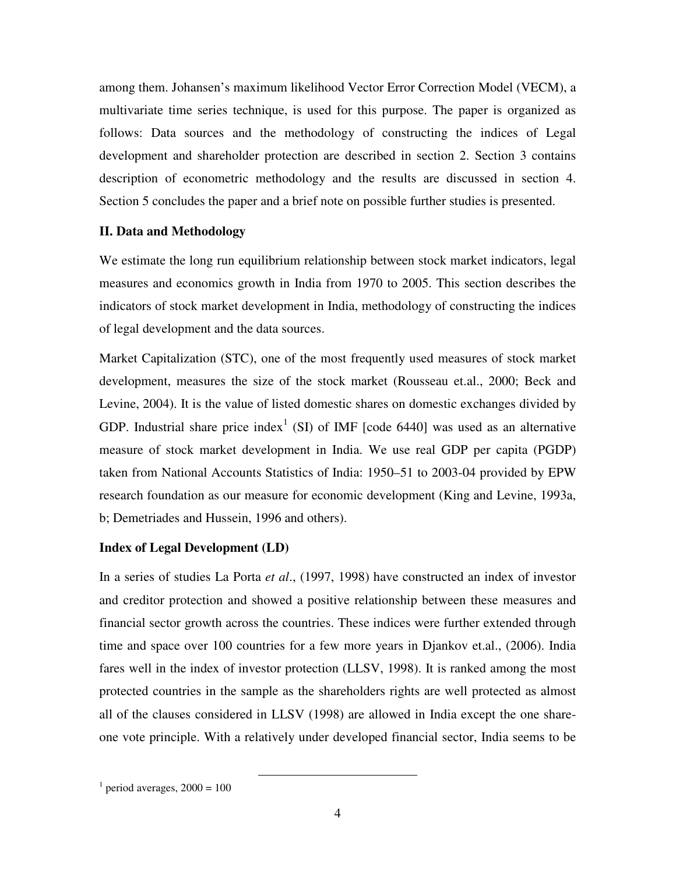among them. Johansen's maximum likelihood Vector Error Correction Model (VECM), a multivariate time series technique, is used for this purpose. The paper is organized as follows: Data sources and the methodology of constructing the indices of Legal development and shareholder protection are described in section 2. Section 3 contains description of econometric methodology and the results are discussed in section 4. Section 5 concludes the paper and a brief note on possible further studies is presented.

#### **II. Data and Methodology**

We estimate the long run equilibrium relationship between stock market indicators, legal measures and economics growth in India from 1970 to 2005. This section describes the indicators of stock market development in India, methodology of constructing the indices of legal development and the data sources.

Market Capitalization (STC), one of the most frequently used measures of stock market development, measures the size of the stock market (Rousseau et.al., 2000; Beck and Levine, 2004). It is the value of listed domestic shares on domestic exchanges divided by GDP. Industrial share price index<sup>1</sup> (SI) of IMF [code 6440] was used as an alternative measure of stock market development in India. We use real GDP per capita (PGDP) taken from National Accounts Statistics of India: 1950–51 to 2003-04 provided by EPW research foundation as our measure for economic development (King and Levine, 1993a, b; Demetriades and Hussein, 1996 and others).

#### **Index of Legal Development (LD)**

In a series of studies La Porta *et al*., (1997, 1998) have constructed an index of investor and creditor protection and showed a positive relationship between these measures and financial sector growth across the countries. These indices were further extended through time and space over 100 countries for a few more years in Djankov et.al., (2006). India fares well in the index of investor protection (LLSV, 1998). It is ranked among the most protected countries in the sample as the shareholders rights are well protected as almost all of the clauses considered in LLSV (1998) are allowed in India except the one shareone vote principle. With a relatively under developed financial sector, India seems to be

-

 $<sup>1</sup>$  period averages, 2000 = 100</sup>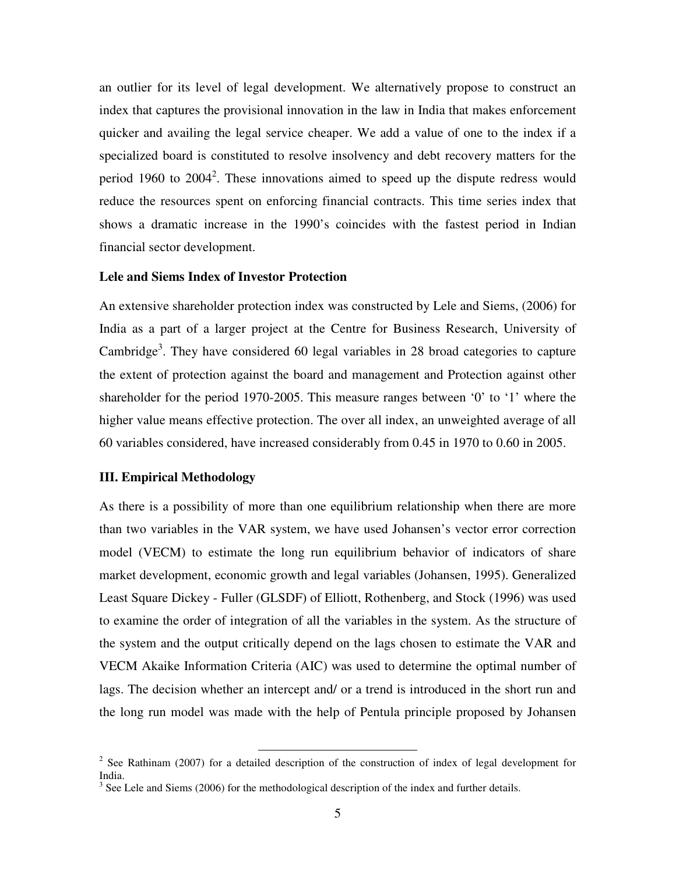an outlier for its level of legal development. We alternatively propose to construct an index that captures the provisional innovation in the law in India that makes enforcement quicker and availing the legal service cheaper. We add a value of one to the index if a specialized board is constituted to resolve insolvency and debt recovery matters for the period 1960 to  $2004^2$ . These innovations aimed to speed up the dispute redress would reduce the resources spent on enforcing financial contracts. This time series index that shows a dramatic increase in the 1990's coincides with the fastest period in Indian financial sector development.

#### **Lele and Siems Index of Investor Protection**

An extensive shareholder protection index was constructed by Lele and Siems, (2006) for India as a part of a larger project at the Centre for Business Research, University of Cambridge<sup>3</sup>. They have considered 60 legal variables in 28 broad categories to capture the extent of protection against the board and management and Protection against other shareholder for the period 1970-2005. This measure ranges between '0' to '1' where the higher value means effective protection. The over all index, an unweighted average of all 60 variables considered, have increased considerably from 0.45 in 1970 to 0.60 in 2005.

#### **III. Empirical Methodology**

As there is a possibility of more than one equilibrium relationship when there are more than two variables in the VAR system, we have used Johansen's vector error correction model (VECM) to estimate the long run equilibrium behavior of indicators of share market development, economic growth and legal variables (Johansen, 1995). Generalized Least Square Dickey - Fuller (GLSDF) of Elliott, Rothenberg, and Stock (1996) was used to examine the order of integration of all the variables in the system. As the structure of the system and the output critically depend on the lags chosen to estimate the VAR and VECM Akaike Information Criteria (AIC) was used to determine the optimal number of lags. The decision whether an intercept and/ or a trend is introduced in the short run and the long run model was made with the help of Pentula principle proposed by Johansen

<sup>&</sup>lt;sup>2</sup> See Rathinam (2007) for a detailed description of the construction of index of legal development for India.

 $3$  See Lele and Siems (2006) for the methodological description of the index and further details.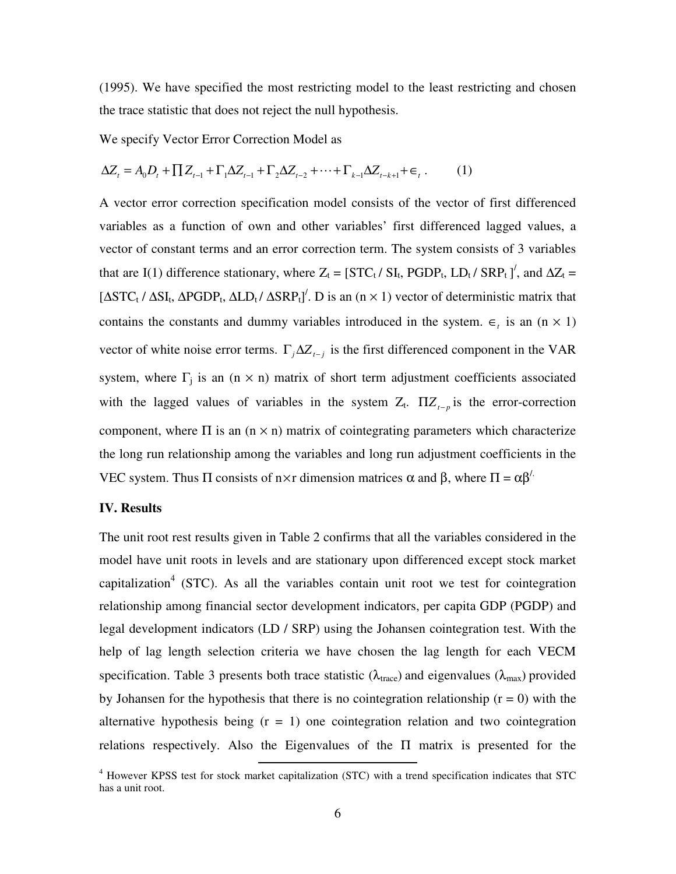(1995). We have specified the most restricting model to the least restricting and chosen the trace statistic that does not reject the null hypothesis.

We specify Vector Error Correction Model as

$$
\Delta Z_{t} = A_{0}D_{t} + \prod Z_{t-1} + \Gamma_{1}\Delta Z_{t-1} + \Gamma_{2}\Delta Z_{t-2} + \dots + \Gamma_{k-1}\Delta Z_{t-k+1} + \epsilon_{t}.
$$
 (1)

A vector error correction specification model consists of the vector of first differenced variables as a function of own and other variables' first differenced lagged values, a vector of constant terms and an error correction term. The system consists of 3 variables that are I(1) difference stationary, where  $Z_t = [STC_t / SI_t, PGDP_t, LD_t / SRP_t]$ , and  $\Delta Z_t =$ [ $\Delta$ STC<sub>t</sub> /  $\Delta$ SI<sub>t</sub>,  $\Delta$ PGDP<sub>t</sub>,  $\Delta$ LD<sub>t</sub> /  $\Delta$ SRP<sub>t</sub>]<sup>'</sup>. D is an (n × 1) vector of deterministic matrix that contains the constants and dummy variables introduced in the system.  $\epsilon$ <sub>*t*</sub> is an (n × 1) vector of white noise error terms.  $\Gamma_j \Delta Z_{t-j}$  is the first differenced component in the VAR system, where  $\Gamma_j$  is an (n  $\times$  n) matrix of short term adjustment coefficients associated with the lagged values of variables in the system  $Z_t$ .  $\Pi Z_{t-p}$  is the error-correction component, where  $\Pi$  is an  $(n \times n)$  matrix of cointegrating parameters which characterize the long run relationship among the variables and long run adjustment coefficients in the VEC system. Thus Π consists of n×r dimension matrices  $\alpha$  and  $\beta$ , where  $\Pi = \alpha \beta'$ .

#### **IV. Results**

The unit root rest results given in Table 2 confirms that all the variables considered in the model have unit roots in levels and are stationary upon differenced except stock market capitalization<sup>4</sup> (STC). As all the variables contain unit root we test for cointegration relationship among financial sector development indicators, per capita GDP (PGDP) and legal development indicators (LD / SRP) using the Johansen cointegration test. With the help of lag length selection criteria we have chosen the lag length for each VECM specification. Table 3 presents both trace statistic ( $\lambda_{\text{trace}}$ ) and eigenvalues ( $\lambda_{\text{max}}$ ) provided by Johansen for the hypothesis that there is no cointegration relationship  $(r = 0)$  with the alternative hypothesis being  $(r = 1)$  one cointegration relation and two cointegration relations respectively. Also the Eigenvalues of the Π matrix is presented for the

 4 However KPSS test for stock market capitalization (STC) with a trend specification indicates that STC has a unit root.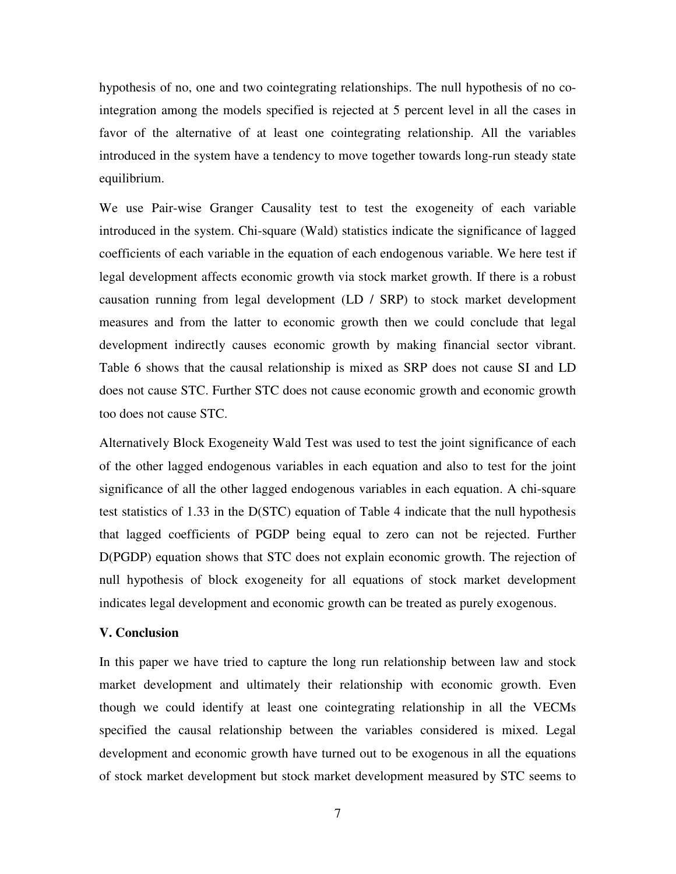hypothesis of no, one and two cointegrating relationships. The null hypothesis of no cointegration among the models specified is rejected at 5 percent level in all the cases in favor of the alternative of at least one cointegrating relationship. All the variables introduced in the system have a tendency to move together towards long-run steady state equilibrium.

We use Pair-wise Granger Causality test to test the exogeneity of each variable introduced in the system. Chi-square (Wald) statistics indicate the significance of lagged coefficients of each variable in the equation of each endogenous variable. We here test if legal development affects economic growth via stock market growth. If there is a robust causation running from legal development (LD / SRP) to stock market development measures and from the latter to economic growth then we could conclude that legal development indirectly causes economic growth by making financial sector vibrant. Table 6 shows that the causal relationship is mixed as SRP does not cause SI and LD does not cause STC. Further STC does not cause economic growth and economic growth too does not cause STC.

Alternatively Block Exogeneity Wald Test was used to test the joint significance of each of the other lagged endogenous variables in each equation and also to test for the joint significance of all the other lagged endogenous variables in each equation. A chi-square test statistics of 1.33 in the D(STC) equation of Table 4 indicate that the null hypothesis that lagged coefficients of PGDP being equal to zero can not be rejected. Further D(PGDP) equation shows that STC does not explain economic growth. The rejection of null hypothesis of block exogeneity for all equations of stock market development indicates legal development and economic growth can be treated as purely exogenous.

#### **V. Conclusion**

In this paper we have tried to capture the long run relationship between law and stock market development and ultimately their relationship with economic growth. Even though we could identify at least one cointegrating relationship in all the VECMs specified the causal relationship between the variables considered is mixed. Legal development and economic growth have turned out to be exogenous in all the equations of stock market development but stock market development measured by STC seems to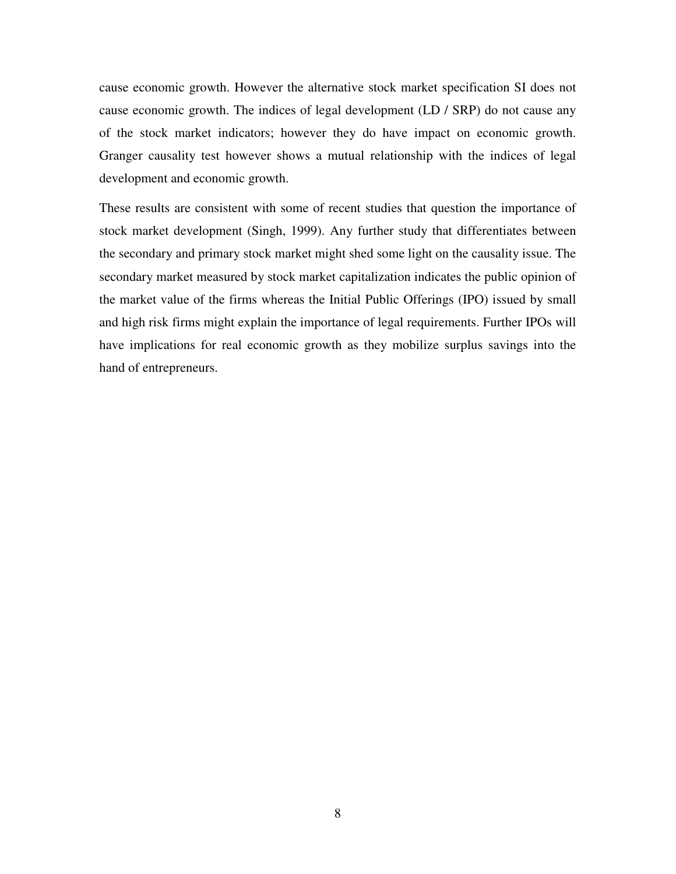cause economic growth. However the alternative stock market specification SI does not cause economic growth. The indices of legal development (LD / SRP) do not cause any of the stock market indicators; however they do have impact on economic growth. Granger causality test however shows a mutual relationship with the indices of legal development and economic growth.

These results are consistent with some of recent studies that question the importance of stock market development (Singh, 1999). Any further study that differentiates between the secondary and primary stock market might shed some light on the causality issue. The secondary market measured by stock market capitalization indicates the public opinion of the market value of the firms whereas the Initial Public Offerings (IPO) issued by small and high risk firms might explain the importance of legal requirements. Further IPOs will have implications for real economic growth as they mobilize surplus savings into the hand of entrepreneurs.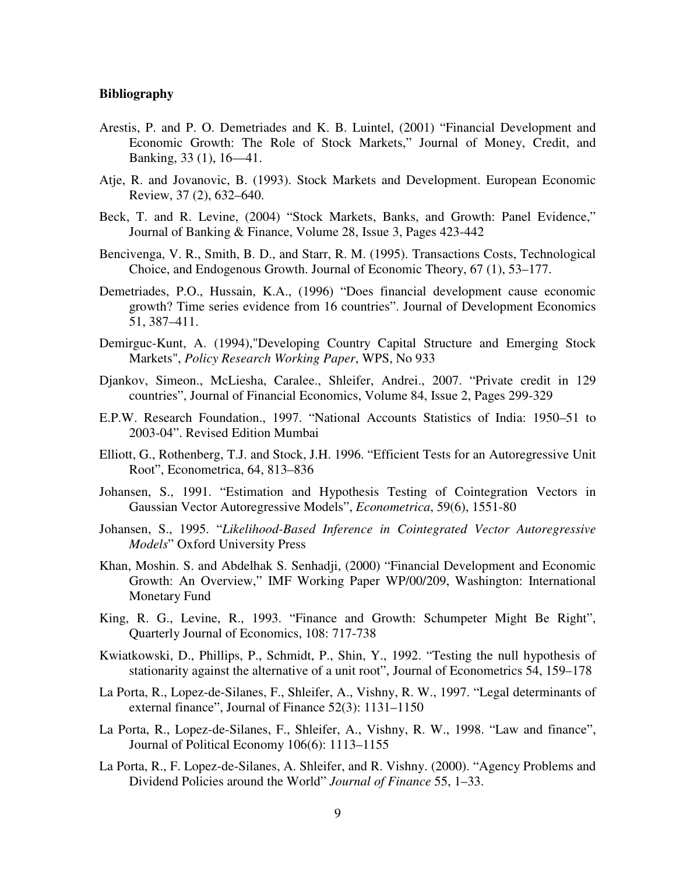#### **Bibliography**

- Arestis, P. and P. O. Demetriades and K. B. Luintel, (2001) "Financial Development and Economic Growth: The Role of Stock Markets," Journal of Money, Credit, and Banking, 33 (1), 16—41.
- Atje, R. and Jovanovic, B. (1993). Stock Markets and Development. European Economic Review, 37 (2), 632–640.
- Beck, T. and R. Levine, (2004) "Stock Markets, Banks, and Growth: Panel Evidence," Journal of Banking & Finance, Volume 28, Issue 3, Pages 423-442
- Bencivenga, V. R., Smith, B. D., and Starr, R. M. (1995). Transactions Costs, Technological Choice, and Endogenous Growth. Journal of Economic Theory, 67 (1), 53–177.
- Demetriades, P.O., Hussain, K.A., (1996) "Does financial development cause economic growth? Time series evidence from 16 countries". Journal of Development Economics 51, 387–411.
- Demirguc-Kunt, A. (1994),"Developing Country Capital Structure and Emerging Stock Markets", *Policy Research Working Paper*, WPS, No 933
- Djankov, Simeon., McLiesha, Caralee., Shleifer, Andrei., 2007. "Private credit in 129 countries", Journal of Financial Economics, Volume 84, Issue 2, Pages 299-329
- E.P.W. Research Foundation., 1997. "National Accounts Statistics of India: 1950–51 to 2003-04". Revised Edition Mumbai
- Elliott, G., Rothenberg, T.J. and Stock, J.H. 1996. "Efficient Tests for an Autoregressive Unit Root", Econometrica, 64, 813–836
- Johansen, S., 1991. "Estimation and Hypothesis Testing of Cointegration Vectors in Gaussian Vector Autoregressive Models", *Econometrica*, 59(6), 1551-80
- Johansen, S., 1995. "*Likelihood-Based Inference in Cointegrated Vector Autoregressive Models*" Oxford University Press
- Khan, Moshin. S. and Abdelhak S. Senhadji, (2000) "Financial Development and Economic Growth: An Overview," IMF Working Paper WP/00/209, Washington: International Monetary Fund
- King, R. G., Levine, R., 1993. "Finance and Growth: Schumpeter Might Be Right", Quarterly Journal of Economics, 108: 717-738
- Kwiatkowski, D., Phillips, P., Schmidt, P., Shin, Y., 1992. "Testing the null hypothesis of stationarity against the alternative of a unit root", Journal of Econometrics 54, 159–178
- La Porta, R., Lopez-de-Silanes, F., Shleifer, A., Vishny, R. W., 1997. "Legal determinants of external finance", Journal of Finance 52(3): 1131–1150
- La Porta, R., Lopez-de-Silanes, F., Shleifer, A., Vishny, R. W., 1998. "Law and finance", Journal of Political Economy 106(6): 1113–1155
- La Porta, R., F. Lopez-de-Silanes, A. Shleifer, and R. Vishny. (2000). "Agency Problems and Dividend Policies around the World" *Journal of Finance* 55, 1–33.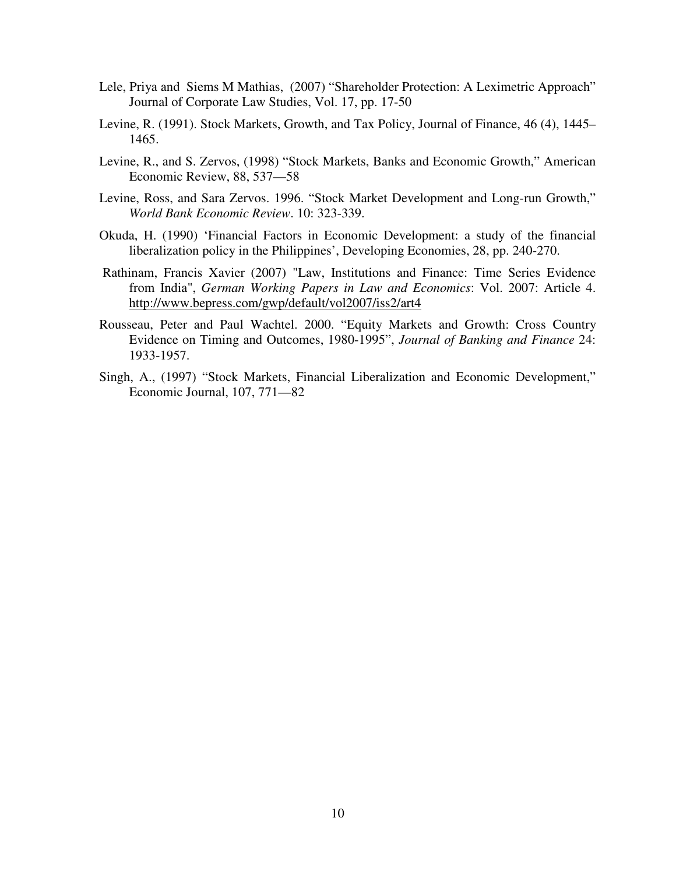- Lele, Priya and Siems M Mathias, (2007) "Shareholder Protection: A Leximetric Approach" Journal of Corporate Law Studies, Vol. 17, pp. 17-50
- Levine, R. (1991). Stock Markets, Growth, and Tax Policy, Journal of Finance, 46 (4), 1445– 1465.
- Levine, R., and S. Zervos, (1998) "Stock Markets, Banks and Economic Growth," American Economic Review, 88, 537—58
- Levine, Ross, and Sara Zervos. 1996. "Stock Market Development and Long-run Growth," *World Bank Economic Review*. 10: 323-339.
- Okuda, H. (1990) 'Financial Factors in Economic Development: a study of the financial liberalization policy in the Philippines', Developing Economies, 28, pp. 240-270.
- Rathinam, Francis Xavier (2007) "Law, Institutions and Finance: Time Series Evidence from India", *German Working Papers in Law and Economics*: Vol. 2007: Article 4. http://www.bepress.com/gwp/default/vol2007/iss2/art4
- Rousseau, Peter and Paul Wachtel. 2000. "Equity Markets and Growth: Cross Country Evidence on Timing and Outcomes, 1980-1995", *Journal of Banking and Finance* 24: 1933-1957.
- Singh, A., (1997) "Stock Markets, Financial Liberalization and Economic Development," Economic Journal, 107, 771—82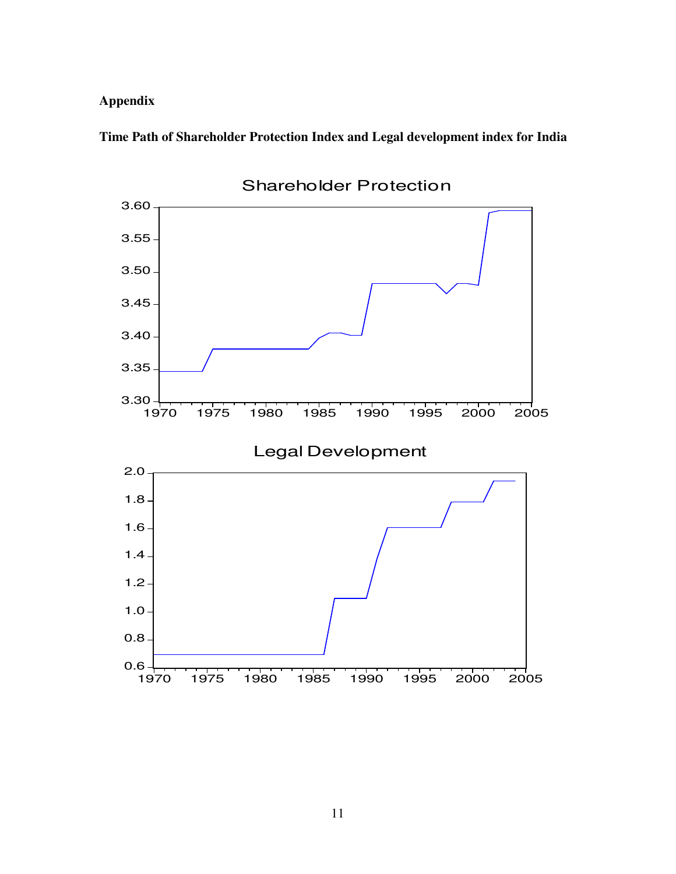## **Appendix**

**Time Path of Shareholder Protection Index and Legal development index for India** 



11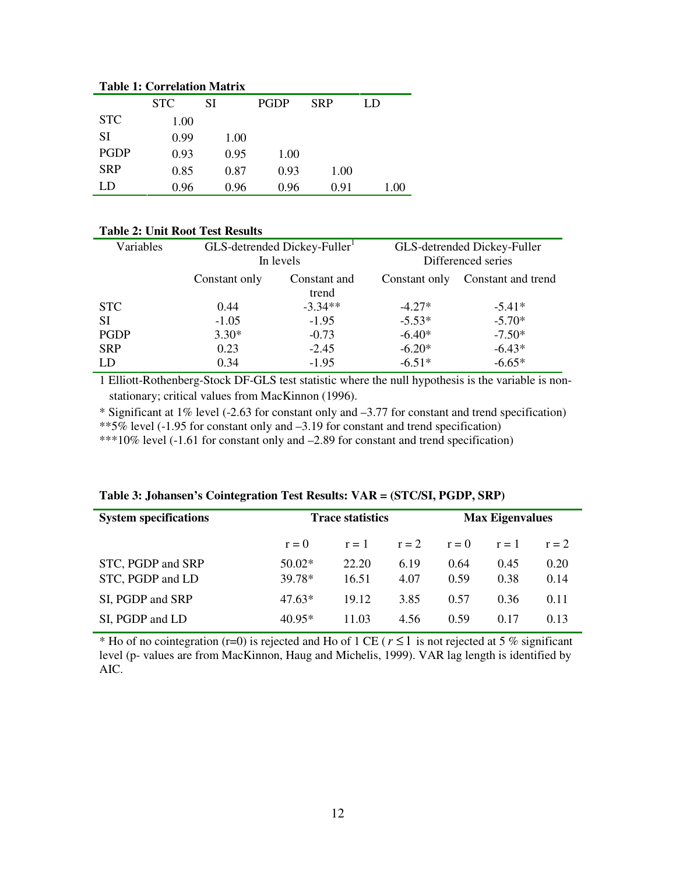| Tadie 1: Correiation Matrix |            |      |             |            |      |  |  |  |
|-----------------------------|------------|------|-------------|------------|------|--|--|--|
|                             | <b>STC</b> | SI   | <b>PGDP</b> | <b>SRP</b> | LD   |  |  |  |
| <b>STC</b>                  | 1.00       |      |             |            |      |  |  |  |
| SI                          | 0.99       | 1.00 |             |            |      |  |  |  |
| PGDP                        | 0.93       | 0.95 | 1.00        |            |      |  |  |  |
| <b>SRP</b>                  | 0.85       | 0.87 | 0.93        | 1.00       |      |  |  |  |
| LD                          | 0.96       | 0.96 | 0.96        | 0.91       | 1.00 |  |  |  |

## **Table 1: Correlation Matrix**

#### **Table 2: Unit Root Test Results**

| Variables  | GLS-detrended Dickey-Fuller<br>In levels |                       | GLS-detrended Dickey-Fuller<br>Differenced series |                    |  |
|------------|------------------------------------------|-----------------------|---------------------------------------------------|--------------------|--|
|            | Constant only                            | Constant and<br>trend | Constant only                                     | Constant and trend |  |
| <b>STC</b> | 0.44                                     | $-3.34**$             | $-4.27*$                                          | $-5.41*$           |  |
| <b>SI</b>  | $-1.05$                                  | $-1.95$               | $-5.53*$                                          | $-5.70*$           |  |
| PGDP       | $3.30*$                                  | $-0.73$               | $-6.40*$                                          | $-7.50*$           |  |
| <b>SRP</b> | 0.23                                     | $-2.45$               | $-6.20*$                                          | $-6.43*$           |  |
| <b>LD</b>  | 0.34                                     | $-1.95$               | $-6.51*$                                          | $-6.65*$           |  |

1 Elliott-Rothenberg-Stock DF-GLS test statistic where the null hypothesis is the variable is nonstationary; critical values from MacKinnon (1996).

\* Significant at 1% level (-2.63 for constant only and –3.77 for constant and trend specification)

\*\*5% level (-1.95 for constant only and  $-3.19$  for constant and trend specification)

\*\*\*10% level (-1.61 for constant only and –2.89 for constant and trend specification)

| <b>System specifications</b> | <b>Trace statistics</b> |       |         | <b>Max Eigenvalues</b> |         |         |
|------------------------------|-------------------------|-------|---------|------------------------|---------|---------|
|                              | $r = 0$                 | $r=1$ | $r = 2$ | $r = 0$                | $r = 1$ | $r = 2$ |
| STC, PGDP and SRP            | $50.02*$                | 22.20 | 6.19    | 0.64                   | 0.45    | 0.20    |
| STC, PGDP and LD             | 39.78*                  | 16.51 | 4.07    | 0.59                   | 0.38    | 0.14    |
| SI, PGDP and SRP             | $47.63*$                | 19.12 | 3.85    | 0.57                   | 0.36    | 0.11    |
| SI, PGDP and LD              | $40.95*$                | 11.03 | 4.56    | 0.59                   | 0.17    | 0.13    |

**Table 3: Johansen's Cointegration Test Results: VAR = (STC/SI, PGDP, SRP)** 

\* Ho of no cointegration (r=0) is rejected and Ho of 1 CE (*r* ≤1 is not rejected at 5 % significant level (p- values are from MacKinnon, Haug and Michelis, 1999). VAR lag length is identified by AIC.